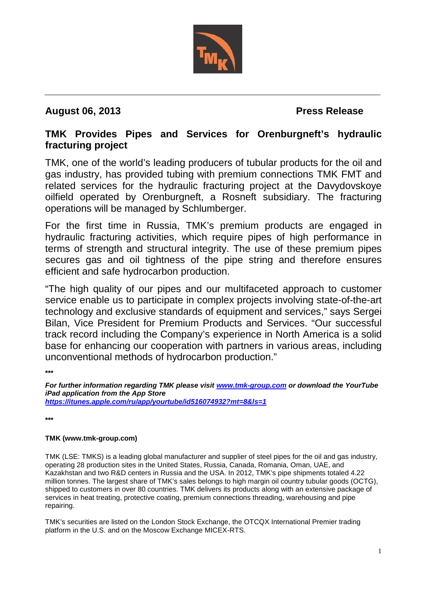

## **August 06, 2013 Press Release**

## **TMK Provides Pipes and Services for Orenburgneft's hydraulic fracturing project**

TMK, one of the world's leading producers of tubular products for the oil and gas industry, has provided tubing with premium connections TMK FMT and related services for the hydraulic fracturing project at the Davydovskoye oilfield operated by Orenburgneft, a Rosneft subsidiary. The fracturing operations will be managed by Schlumberger.

For the first time in Russia, TMK's premium products are engaged in hydraulic fracturing activities, which require pipes of high performance in terms of strength and structural integrity. The use of these premium pipes secures gas and oil tightness of the pipe string and therefore ensures efficient and safe hydrocarbon production.

"The high quality of our pipes and our multifaceted approach to customer service enable us to participate in complex projects involving state-of-the-art technology and exclusive standards of equipment and services," says Sergei Bilan, Vice President for Premium Products and Services. "Our successful track record including the Company's experience in North America is a solid base for enhancing our cooperation with partners in various areas, including unconventional methods of hydrocarbon production."

**\*\*\***

*For further information regarding TMK please visit [www.tmk-group.com](http://www.tmk-group.com/) or download the YourTube iPad application from the App Store <https://itunes.apple.com/ru/app/yourtube/id516074932?mt=8&ls=1>*

**\*\*\***

## **TMK (www.tmk-group.com)**

TMK (LSE: TMKS) is a leading global manufacturer and supplier of steel pipes for the oil and gas industry, operating 28 production sites in the United States, Russia, Canada, Romania, Oman, UAE, and Kazakhstan and two R&D centers in Russia and the USA. In 2012, TMK's pipe shipments totaled 4.22 million tonnes. The largest share of TMK's sales belongs to high margin oil country tubular goods (OCTG), shipped to customers in over 80 countries. TMK delivers its products along with an extensive package of services in heat treating, protective coating, premium connections threading, warehousing and pipe repairing.

TMK's securities are listed on the London Stock Exchange, the OTCQX International Premier trading platform in the U.S. and on the Moscow Exchange MICEX-RTS.